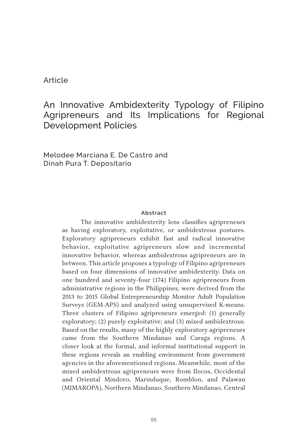#### Article

# An Innovative Ambidexterity Typology of Filipino Agripreneurs and Its Implications for Regional Development Policies

Melodee Marciana E. De Castro and Dinah Pura T. Depositario

#### **Abstract**

The innovative ambidexterity lens classifies agripreneurs as having exploratory, exploitative, or ambidextrous postures. Exploratory agripreneurs exhibit fast and radical innovative behavior, exploitative agripreneurs slow and incremental innovative behavior, whereas ambidextrous agripreneurs are in between. This article proposes a typology of Filipino agripreneurs based on four dimensions of innovative ambidexterity. Data on one hundred and seventy-four (174) Filipino agripreneurs from administrative regions in the Philippines, were derived from the 2013 to 2015 Global Entrepreneurship Monitor Adult Population Surveys (GEM-APS) and analyzed using unsupervised K-means. Three clusters of Filipino agripreneurs emerged: (1) generally exploratory; (2) purely exploitative; and (3) mixed ambidextrous. Based on the results, many of the highly exploratory agripreneurs came from the Southern Mindanao and Caraga regions. A closer look at the formal, and informal institutional support in these regions reveals an enabling environment from government agencies in the aforementioned regions. Meanwhile, most of the mixed ambidextrous agripreneurs were from Ilocos, Occidental and Oriental Mindoro, Marinduque, Romblon, and Palawan (MIMAROPA), Northern Mindanao, Southern Mindanao, Central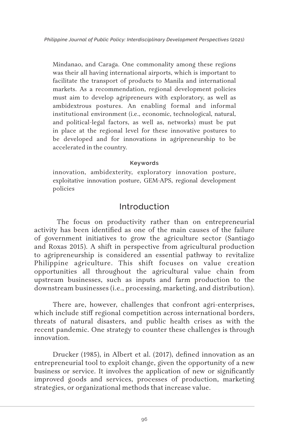Mindanao, and Caraga. One commonality among these regions was their all having international airports, which is important to facilitate the transport of products to Manila and international markets. As a recommendation, regional development policies must aim to develop agripreneurs with exploratory, as well as ambidextrous postures. An enabling formal and informal institutional environment (i.e., economic, technological, natural, and political-legal factors, as well as, networks) must be put in place at the regional level for these innovative postures to be developed and for innovations in agripreneurship to be accelerated in the country.

#### **Keywords**

innovation, ambidexterity, exploratory innovation posture, exploitative innovation posture, GEM-APS, regional development policies

## Introduction

 The focus on productivity rather than on entrepreneurial activity has been identified as one of the main causes of the failure of government initiatives to grow the agriculture sector (Santiago and Roxas 2015). A shift in perspective from agricultural production to agripreneurship is considered an essential pathway to revitalize Philippine agriculture. This shift focuses on value creation opportunities all throughout the agricultural value chain from upstream businesses, such as inputs and farm production to the downstream businesses (i.e., processing, marketing, and distribution).

There are, however, challenges that confront agri-enterprises, which include stiff regional competition across international borders, threats of natural disasters, and public health crises as with the recent pandemic. One strategy to counter these challenges is through innovation.

Drucker (1985), in Albert et al. (2017), defined innovation as an entrepreneurial tool to exploit change, given the opportunity of a new business or service. It involves the application of new or significantly improved goods and services, processes of production, marketing strategies, or organizational methods that increase value.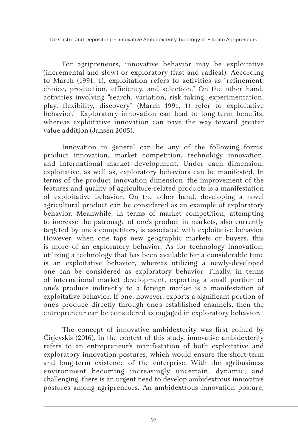For agripreneurs, innovative behavior may be exploitative (incremental and slow) or exploratory (fast and radical). According to March (1991, 1), exploitation refers to activities as "refinement, choice, production, efficiency, and selection." On the other hand, activities involving "search, variation, risk taking, experimentation, play, flexibility, discovery" (March 1991, 1) refer to exploitative behavior. Exploratory innovation can lead to long-term benefits, whereas exploitative innovation can pave the way toward greater value addition (Jansen 2005).

Innovation in general can be any of the following forms: product innovation, market competition, technology innovation, and international market development. Under each dimension, exploitative, as well as, exploratory behaviors can be manifested. In terms of the product innovation dimension, the improvement of the features and quality of agriculture-related products is a manifestation of exploitative behavior. On the other hand, developing a novel agricultural product can be considered as an example of exploratory behavior. Meanwhile, in terms of market competition, attempting to increase the patronage of one's product in markets, also currently targeted by one's competitors, is associated with exploitative behavior. However, when one taps new geographic markets or buyers, this is more of an exploratory behavior. As for technology innovation, utilizing a technology that has been available for a considerable time is an exploitative behavior, whereas utilizing a newly-developed one can be considered as exploratory behavior. Finally, in terms of international market development, exporting a small portion of one's produce indirectly to a foreign market is a manifestation of exploitative behavior. If one, however, exports a significant portion of one's produce directly through one's established channels, then the entrepreneur can be considered as engaged in exploratory behavior.

The concept of innovative ambidexterity was first coined by Čirjevskis (2016). In the context of this study, innovative ambidexterity refers to an entrepreneur's manifestation of both exploitative and exploratory innovation postures, which would ensure the short-term and long-term existence of the enterprise. With the agribusiness environment becoming increasingly uncertain, dynamic, and challenging, there is an urgent need to develop ambidextrous innovative postures among agripreneurs. An ambidextrous innovation posture,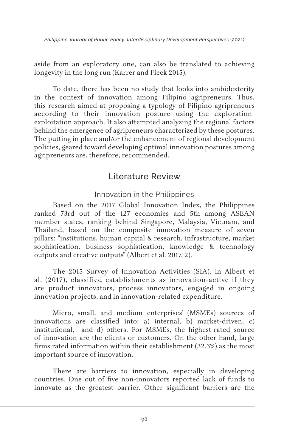aside from an exploratory one, can also be translated to achieving longevity in the long run (Karrer and Fleck 2015).

To date, there has been no study that looks into ambidexterity in the context of innovation among Filipino agripreneurs. Thus, this research aimed at proposing a typology of Filipino agripreneurs according to their innovation posture using the explorationexploitation approach. It also attempted analyzing the regional factors behind the emergence of agripreneurs characterized by these postures. The putting in place and/or the enhancement of regional development policies, geared toward developing optimal innovation postures among agripreneurs are, therefore, recommended.

# Literature Review

#### Innovation in the Philippines

Based on the 2017 Global Innovation Index, the Philippines ranked 73rd out of the 127 economies and 5th among ASEAN member states, ranking behind Singapore, Malaysia, Vietnam, and Thailand, based on the composite innovation measure of seven pillars: "institutions, human capital & research, infrastructure, market sophistication, business sophistication, knowledge & technology outputs and creative outputs" (Albert et al. 2017, 2).

The 2015 Survey of Innovation Activities (SIA), in Albert et al. (2017), classified establishments as innovation-active if they are product innovators, process innovators, engaged in ongoing innovation projects, and in innovation-related expenditure.

Micro, small, and medium enterprises' (MSMEs) sources of innovations are classified into: a) internal, b) market-driven, c) institutional, and d) others. For MSMEs, the highest-rated source of innovation are the clients or customers. On the other hand, large firms rated information within their establishment (32.3%) as the most important source of innovation.

There are barriers to innovation, especially in developing countries. One out of five non-innovators reported lack of funds to innovate as the greatest barrier. Other significant barriers are the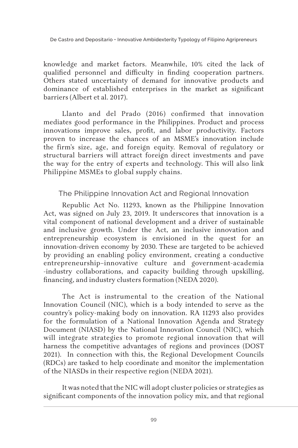knowledge and market factors. Meanwhile, 10% cited the lack of qualified personnel and difficulty in finding cooperation partners. Others stated uncertainty of demand for innovative products and dominance of established enterprises in the market as significant barriers (Albert et al. 2017).

Llanto and del Prado (2016) confirmed that innovation mediates good performance in the Philippines. Product and process innovations improve sales, profit, and labor productivity. Factors proven to increase the chances of an MSME's innovation include the firm's size, age, and foreign equity. Removal of regulatory or structural barriers will attract foreign direct investments and pave the way for the entry of experts and technology. This will also link Philippine MSMEs to global supply chains.

The Philippine Innovation Act and Regional Innovation

Republic Act No. 11293, known as the Philippine Innovation Act, was signed on July 23, 2019. It underscores that innovation is a vital component of national development and a driver of sustainable and inclusive growth. Under the Act, an inclusive innovation and entrepreneurship ecosystem is envisioned in the quest for an innovation-driven economy by 2030. These are targeted to be achieved by providing an enabling policy environment, creating a conductive entrepreneurship–innovative culture and government-academia -industry collaborations, and capacity building through upskilling, financing, and industry clusters formation (NEDA 2020).

The Act is instrumental to the creation of the National Innovation Council (NIC), which is a body intended to serve as the country's policy-making body on innovation. RA 11293 also provides for the formulation of a National Innovation Agenda and Strategy Document (NIASD) by the National Innovation Council (NIC), which will integrate strategies to promote regional innovation that will harness the competitive advantages of regions and provinces (DOST 2021). In connection with this, the Regional Development Councils (RDCs) are tasked to help coordinate and monitor the implementation of the NIASDs in their respective region (NEDA 2021).

It was noted that the NIC will adopt cluster policies or strategies as significant components of the innovation policy mix, and that regional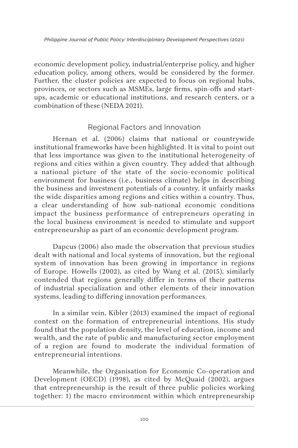economic development policy, industrial/enterprise policy, and higher education policy, among others, would be considered by the former. Further, the cluster policies are expected to focus on regional hubs, provinces, or sectors such as MSMEs, large firms, spin-offs and startups, academic or educational institutions, and research centers, or a combination of these (NEDA 2021).

### Regional Factors and Innovation

Hernan et al. (2006) claims that national or countrywide institutional frameworks have been highlighted. It is vital to point out that less importance was given to the institutional heterogeneity of regions and cities within a given country. They added that although a national picture of the state of the socio-economic political environment for business (i.e., business climate) helps in describing the business and investment potentials of a country, it unfairly masks the wide disparities among regions and cities within a country. Thus, a clear understanding of how sub-national economic conditions impact the business performance of entrepreneurs operating in the local business environment is needed to stimulate and support entrepreneurship as part of an economic development program.

Dapcus (2006) also made the observation that previous studies dealt with national and local systems of innovation, but the regional system of innovation has been growing in importance in regions of Europe. Howells (2002), as cited by Wang et al. (2015), similarly contended that regions generally differ in terms of their patterns of industrial specialization and other elements of their innovation systems, leading to differing innovation performances.

In a similar vein, Kibler (2013) examined the impact of regional context on the formation of entrepreneurial intentions. His study found that the population density, the level of education, income and wealth, and the rate of public and manufacturing sector employment of a region are found to moderate the individual formation of entrepreneurial intentions.

Meanwhile, the Organisation for Economic Co-operation and Development (OECD) (1998), as cited by McQuaid (2002), argues that entrepreneurship is the result of three public policies working together: 1) the macro environment within which entrepreneurship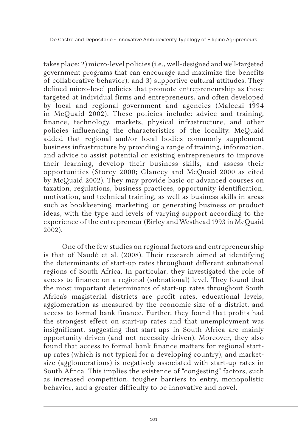takes place; 2) micro-level policies (i.e., well-designed and well-targeted government programs that can encourage and maximize the benefits of collaborative behavior); and 3) supportive cultural attitudes. They defined micro-level policies that promote entrepreneurship as those targeted at individual firms and entrepreneurs, and often developed by local and regional government and agencies (Malecki 1994 in McQuaid 2002). These policies include: advice and training, finance, technology, markets, physical infrastructure, and other policies influencing the characteristics of the locality. McQuaid added that regional and/or local bodies commonly supplement business infrastructure by providing a range of training, information, and advice to assist potential or existing entrepreneurs to improve their learning, develop their business skills, and assess their opportunities (Storey 2000; Glancey and McQuaid 2000 as cited by McQuaid 2002). They may provide basic or advanced courses on taxation, regulations, business practices, opportunity identification, motivation, and technical training, as well as business skills in areas such as bookkeeping, marketing, or generating business or product ideas, with the type and levels of varying support according to the experience of the entrepreneur (Birley and Westhead 1993 in McQuaid 2002).

One of the few studies on regional factors and entrepreneurship is that of Naudé et al. (2008). Their research aimed at identifying the determinants of start-up rates throughout different subnational regions of South Africa. In particular, they investigated the role of access to finance on a regional (subnational) level. They found that the most important determinants of start-up rates throughout South Africa's magisterial districts are profit rates, educational levels, agglomeration as measured by the economic size of a district, and access to formal bank finance. Further, they found that profits had the strongest effect on start-up rates and that unemployment was insignificant, suggesting that start-ups in South Africa are mainly opportunity-driven (and not necessity-driven). Moreover, they also found that access to formal bank finance matters for regional startup rates (which is not typical for a developing country), and marketsize (agglomerations) is negatively associated with start-up rates in South Africa. This implies the existence of "congesting" factors, such as increased competition, tougher barriers to entry, monopolistic behavior, and a greater difficulty to be innovative and novel.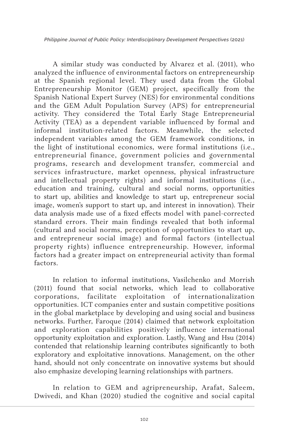A similar study was conducted by Alvarez et al. (2011), who analyzed the influence of environmental factors on entrepreneurship at the Spanish regional level. They used data from the Global Entrepreneurship Monitor (GEM) project, specifically from the Spanish National Expert Survey (NES) for environmental conditions and the GEM Adult Population Survey (APS) for entrepreneurial activity. They considered the Total Early Stage Entrepreneurial Activity (TEA) as a dependent variable influenced by formal and informal institution-related factors. Meanwhile, the selected independent variables among the GEM framework conditions, in the light of institutional economics, were formal institutions (i.e., entrepreneurial finance, government policies and governmental programs, research and development transfer, commercial and services infrastructure, market openness, physical infrastructure and intellectual property rights) and informal institutions (i.e., education and training, cultural and social norms, opportunities to start up, abilities and knowledge to start up, entrepreneur social image, women's support to start up, and interest in innovation). Their data analysis made use of a fixed effects model with panel-corrected standard errors. Their main findings revealed that both informal (cultural and social norms, perception of opportunities to start up, and entrepreneur social image) and formal factors (intellectual property rights) influence entrepreneurship. However, informal factors had a greater impact on entrepreneurial activity than formal factors.

In relation to informal institutions, Vasilchenko and Morrish (2011) found that social networks, which lead to collaborative corporations, facilitate exploitation of internationalization opportunities. ICT companies enter and sustain competitive positions in the global marketplace by developing and using social and business networks. Further, Faroque (2014) claimed that network exploitation and exploration capabilities positively influence international opportunity exploitation and exploration. Lastly, Wang and Hsu (2014) contended that relationship learning contributes significantly to both exploratory and exploitative innovations. Management, on the other hand, should not only concentrate on innovative systems but should also emphasize developing learning relationships with partners.

In relation to GEM and agripreneurship, Arafat, Saleem, Dwivedi, and Khan (2020) studied the cognitive and social capital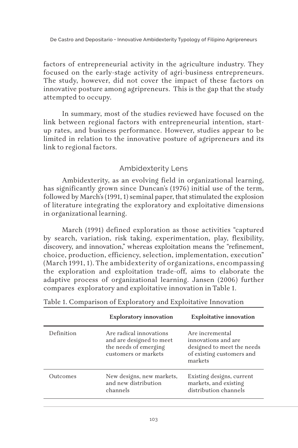factors of entrepreneurial activity in the agriculture industry. They focused on the early-stage activity of agri-business entrepreneurs. The study, however, did not cover the impact of these factors on innovative posture among agripreneurs. This is the gap that the study attempted to occupy.

In summary, most of the studies reviewed have focused on the link between regional factors with entrepreneurial intention, startup rates, and business performance. However, studies appear to be limited in relation to the innovative posture of agripreneurs and its link to regional factors.

### Ambidexterity Lens

Ambidexterity, as an evolving field in organizational learning, has significantly grown since Duncan's (1976) initial use of the term, followed by March's (1991, 1) seminal paper, that stimulated the explosion of literature integrating the exploratory and exploitative dimensions in organizational learning.

March (1991) defined exploration as those activities "captured by search, variation, risk taking, experimentation, play, flexibility, discovery, and innovation," whereas exploitation means the "refinement, choice, production, efficiency, selection, implementation, execution" (March 1991, 1). The ambidexterity of organizations, encompassing the exploration and exploitation trade-off, aims to elaborate the adaptive process of organizational learning. Jansen (2006) further compares exploratory and exploitative innovation in Table 1.

|            | <b>Exploratory innovation</b>                                                                        | <b>Exploitative innovation</b>                                                                               |
|------------|------------------------------------------------------------------------------------------------------|--------------------------------------------------------------------------------------------------------------|
| Definition | Are radical innovations<br>and are designed to meet<br>the needs of emerging<br>customers or markets | Are incremental<br>innovations and are<br>designed to meet the needs<br>of existing customers and<br>markets |
| Outcomes   | New designs, new markets,<br>and new distribution<br>channels                                        | Existing designs, current<br>markets, and existing<br>distribution channels                                  |

Table 1. Comparison of Exploratory and Exploitative Innovation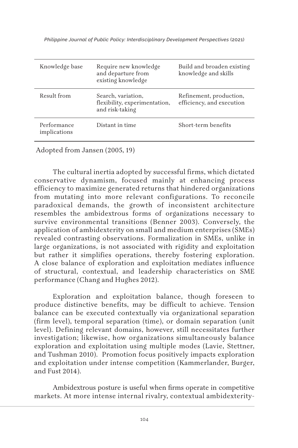| Knowledge base              | Require new knowledge<br>and departure from<br>existing knowledge      | Build and broaden existing<br>knowledge and skills   |
|-----------------------------|------------------------------------------------------------------------|------------------------------------------------------|
| Result from                 | Search, variation,<br>flexibility, experimentation,<br>and risk-taking | Refinement, production,<br>efficiency, and execution |
| Performance<br>implications | Distant in time                                                        | Short-term benefits                                  |

Adopted from Jansen (2005, 19)

The cultural inertia adopted by successful firms, which dictated conservative dynamism, focused mainly at enhancing process efficiency to maximize generated returns that hindered organizations from mutating into more relevant configurations. To reconcile paradoxical demands, the growth of inconsistent architecture resembles the ambidextrous forms of organizations necessary to survive environmental transitions (Benner 2003). Conversely, the application of ambidexterity on small and medium enterprises (SMEs) revealed contrasting observations. Formalization in SMEs, unlike in large organizations, is not associated with rigidity and exploitation but rather it simplifies operations, thereby fostering exploration. A close balance of exploration and exploitation mediates influence of structural, contextual, and leadership characteristics on SME performance (Chang and Hughes 2012).

Exploration and exploitation balance, though foreseen to produce distinctive benefits, may be difficult to achieve. Tension balance can be executed contextually via organizational separation (firm level), temporal separation (time), or domain separation (unit level). Defining relevant domains, however, still necessitates further investigation; likewise, how organizations simultaneously balance exploration and exploitation using multiple modes (Lavie, Stettner, and Tushman 2010). Promotion focus positively impacts exploration and exploitation under intense competition (Kammerlander, Burger, and Fust 2014).

Ambidextrous posture is useful when firms operate in competitive markets. At more intense internal rivalry, contextual ambidexterity-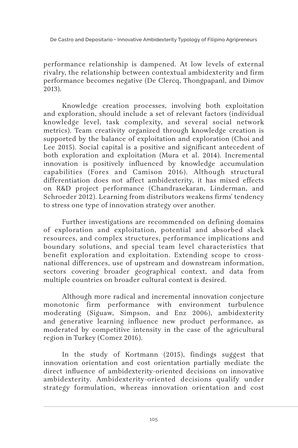performance relationship is dampened. At low levels of external rivalry, the relationship between contextual ambidexterity and firm performance becomes negative (De Clercq, Thongpapanl, and Dimov 2013).

Knowledge creation processes, involving both exploitation and exploration, should include a set of relevant factors (individual knowledge level, task complexity, and several social network metrics). Team creativity organized through knowledge creation is supported by the balance of exploitation and exploration (Choi and Lee 2015). Social capital is a positive and significant antecedent of both exploration and exploitation (Mura et al. 2014). Incremental innovation is positively influenced by knowledge accumulation capabilities (Fores and Camison 2016). Although structural differentiation does not affect ambidexterity, it has mixed effects on R&D project performance (Chandrasekaran, Linderman, and Schroeder 2012). Learning from distributors weakens firms' tendency to stress one type of innovation strategy over another.

Further investigations are recommended on defining domains of exploration and exploitation, potential and absorbed slack resources, and complex structures, performance implications and boundary solutions, and special team level characteristics that benefit exploration and exploitation. Extending scope to crossnational differences, use of upstream and downstream information, sectors covering broader geographical context, and data from multiple countries on broader cultural context is desired.

Although more radical and incremental innovation conjecture monotonic firm performance with environment turbulence moderating (Siguaw, Simpson, and Enz 2006), ambidexterity and generative learning influence new product performance, as moderated by competitive intensity in the case of the agricultural region in Turkey (Comez 2016).

In the study of Kortmann (2015), findings suggest that innovation orientation and cost orientation partially mediate the direct influence of ambidexterity-oriented decisions on innovative ambidexterity. Ambidexterity-oriented decisions qualify under strategy formulation, whereas innovation orientation and cost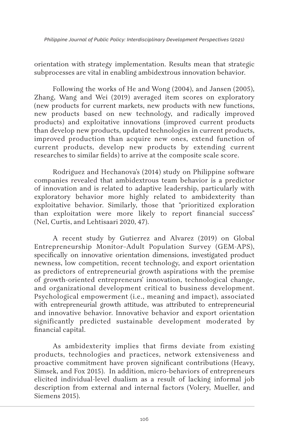orientation with strategy implementation. Results mean that strategic subprocesses are vital in enabling ambidextrous innovation behavior.

Following the works of He and Wong (2004), and Jansen (2005), Zhang, Wang and Wei (2019) averaged item scores on exploratory (new products for current markets, new products with new functions, new products based on new technology, and radically improved products) and exploitative innovations (improved current products than develop new products, updated technologies in current products, improved production than acquire new ones, extend function of current products, develop new products by extending current researches to similar fields) to arrive at the composite scale score.

Rodriguez and Hechanova's (2014) study on Philippine software companies revealed that ambidextrous team behavior is a predictor of innovation and is related to adaptive leadership, particularly with exploratory behavior more highly related to ambidexterity than exploitative behavior. Similarly, those that "prioritized exploration than exploitation were more likely to report financial success" (Nel, Curtis, and Lehtisaari 2020, 47).

A recent study by Gutierrez and Alvarez (2019) on Global Entrepreneurship Monitor–Adult Population Survey (GEM-APS), specifically on innovative orientation dimensions, investigated product newness, low competition, recent technology, and export orientation as predictors of entrepreneurial growth aspirations with the premise of growth-oriented entrepreneurs' innovation, technological change, and organizational development critical to business development. Psychological empowerment (i.e., meaning and impact), associated with entrepreneurial growth attitude, was attributed to entrepreneurial and innovative behavior. Innovative behavior and export orientation significantly predicted sustainable development moderated by financial capital.

As ambidexterity implies that firms deviate from existing products, technologies and practices, network extensiveness and proactive commitment have proven significant contributions (Heavy, Simsek, and Fox 2015). In addition, micro-behaviors of entrepreneurs elicited individual-level dualism as a result of lacking informal job description from external and internal factors (Volery, Mueller, and Siemens 2015).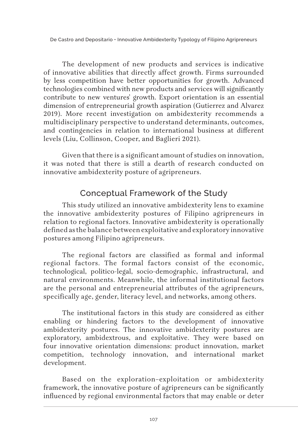The development of new products and services is indicative of innovative abilities that directly affect growth. Firms surrounded by less competition have better opportunities for growth. Advanced technologies combined with new products and services will significantly contribute to new ventures' growth. Export orientation is an essential dimension of entrepreneurial growth aspiration (Gutierrez and Alvarez 2019). More recent investigation on ambidexterity recommends a multidisciplinary perspective to understand determinants, outcomes, and contingencies in relation to international business at different levels (Liu, Collinson, Cooper, and Baglieri 2021).

Given that there is a significant amount of studies on innovation, it was noted that there is still a dearth of research conducted on innovative ambidexterity posture of agripreneurs.

# Conceptual Framework of the Study

This study utilized an innovative ambidexterity lens to examine the innovative ambidexterity postures of Filipino agripreneurs in relation to regional factors. Innovative ambidexterity is operationally defined as the balance between exploitative and exploratory innovative postures among Filipino agripreneurs.

The regional factors are classified as formal and informal regional factors. The formal factors consist of the economic, technological, politico-legal, socio-demographic, infrastructural, and natural environments. Meanwhile, the informal institutional factors are the personal and entrepreneurial attributes of the agripreneurs, specifically age, gender, literacy level, and networks, among others.

The institutional factors in this study are considered as either enabling or hindering factors to the development of innovative ambidexterity postures. The innovative ambidexterity postures are exploratory, ambidextrous, and exploitative. They were based on four innovative orientation dimensions: product innovation, market competition, technology innovation, and international market development.

Based on the exploration–exploitation or ambidexterity framework, the innovative posture of agripreneurs can be significantly influenced by regional environmental factors that may enable or deter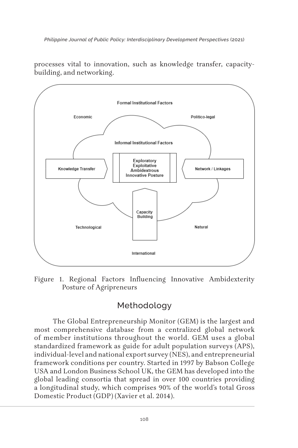

processes vital to innovation, such as knowledge transfer, capacitybuilding, and networking.

Figure 1. Regional Factors Influencing Innovative Ambidexterity Posture of Agripreneurs

# Methodology

The Global Entrepreneurship Monitor (GEM) is the largest and most comprehensive database from a centralized global network of member institutions throughout the world. GEM uses a global standardized framework as guide for adult population surveys (APS), individual-level and national export survey (NES), and entrepreneurial framework conditions per country. Started in 1997 by Babson College USA and London Business School UK, the GEM has developed into the global leading consortia that spread in over 100 countries providing a longitudinal study, which comprises 90% of the world's total Gross Domestic Product (GDP) (Xavier et al. 2014).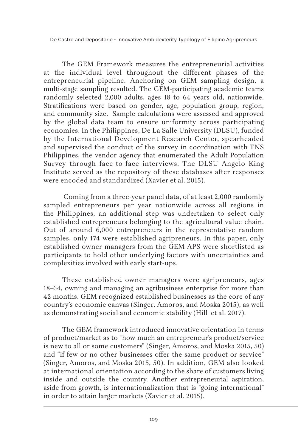The GEM Framework measures the entrepreneurial activities at the individual level throughout the different phases of the entrepreneurial pipeline. Anchoring on GEM sampling design, a multi-stage sampling resulted. The GEM-participating academic teams randomly selected 2,000 adults, ages 18 to 64 years old, nationwide. Stratifications were based on gender, age, population group, region, and community size. Sample calculations were assessed and approved by the global data team to ensure uniformity across participating economies. In the Philippines, De La Salle University (DLSU), funded by the International Development Research Center, spearheaded and supervised the conduct of the survey in coordination with TNS Philippines, the vendor agency that enumerated the Adult Population Survey through face-to-face interviews. The DLSU Angelo King Institute served as the repository of these databases after responses were encoded and standardized (Xavier et al. 2015).

 Coming from a three-year panel data, of at least 2,000 randomly sampled entrepreneurs per year nationwide across all regions in the Philippines, an additional step was undertaken to select only established entrepreneurs belonging to the agricultural value chain. Out of around 6,000 entrepreneurs in the representative random samples, only 174 were established agripreneurs. In this paper, only established owner-managers from the GEM-APS were shortlisted as participants to hold other underlying factors with uncertainties and complexities involved with early start-ups.

These established owner managers were agripreneurs, ages 18–64, owning and managing an agribusiness enterprise for more than 42 months. GEM recognized established businesses as the core of any country's economic canvas (Singer, Amoros, and Moska 2015), as well as demonstrating social and economic stability (Hill et al. 2017).

The GEM framework introduced innovative orientation in terms of product/market as to "how much an entrepreneur's product/service is new to all or some customers" (Singer, Amoros, and Moska 2015, 50) and "if few or no other businesses offer the same product or service" (Singer, Amoros, and Moska 2015, 50). In addition, GEM also looked at international orientation according to the share of customers living inside and outside the country. Another entrepreneurial aspiration, aside from growth, is internationalization that is "going international" in order to attain larger markets (Xavier et al. 2015).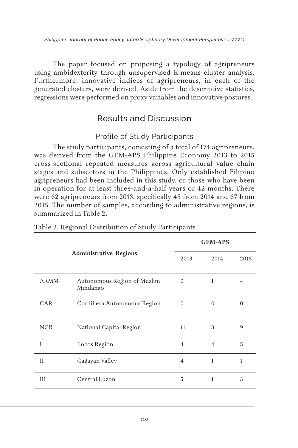The paper focused on proposing a typology of agripreneurs using ambidexterity through unsupervised K-means cluster analysis. Furthermore, innovative indices of agripreneurs, in each of the generated clusters, were derived. Aside from the descriptive statistics, regressions were performed on proxy variables and innovative postures.

# Results and Discussion

### Profile of Study Participants

The study participants, consisting of a total of 174 agripreneurs, was derived from the GEM-APS Philippine Economy 2013 to 2015 cross-sectional repeated measures across agricultural value chain stages and subsectors in the Philippines. Only established Filipino agripreneurs had been included in this study, or those who have been in operation for at least three-and-a-half years or 42 months. There were 62 agripreneurs from 2013, specifically 45 from 2014 and 67 from 2015. The number of samples, according to administrative regions, is summarized in Table 2.

|              |                                         |                | <b>GEM-APS</b> |                |
|--------------|-----------------------------------------|----------------|----------------|----------------|
|              | <b>Administrative Regions</b>           | 2013           | 2014           | 2015           |
| <b>ARMM</b>  | Autonomous Region of Muslim<br>Mindanao | $\Omega$       | 1              | $\overline{4}$ |
| CAR          | Cordillera Autonomous Region            | $\Omega$       | $\Omega$       | $\Omega$       |
| <b>NCR</b>   | National Capital Region                 | 11             | 3              | $\mathbf{Q}$   |
| I            | Ilocos Region                           | $\overline{4}$ | $\overline{4}$ | 5              |
| $\mathbf{I}$ | Cagayan Valley                          | 4              | 1              | $\mathbf{1}$   |
| Ш            | Central Luzon                           | 5              | 1              | 3              |

#### Table 2. Regional Distribution of Study Participants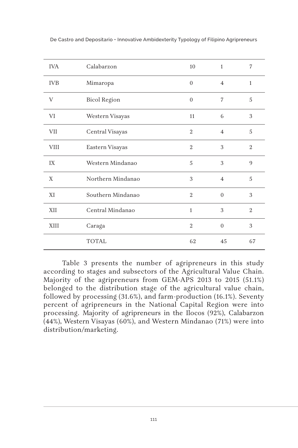| <b>IVA</b>  | Calabarzon          | 10             | $\mathbf{1}$   | 7              |
|-------------|---------------------|----------------|----------------|----------------|
| <b>IVB</b>  | Mimaropa            | $\mathbf{0}$   | $\overline{4}$ | $\mathbf{1}$   |
| V           | <b>Bicol Region</b> | $\overline{0}$ | 7              | 5              |
| VI          | Western Visayas     | 11             | 6              | 3              |
| VII         | Central Visayas     | $\overline{2}$ | $\overline{4}$ | 5              |
| <b>VIII</b> | Eastern Visayas     | $\overline{2}$ | 3              | $\overline{2}$ |
| IX          | Western Mindanao    | 5              | 3              | 9              |
| X           | Northern Mindanao   | 3              | $\overline{4}$ | 5              |
| XI          | Southern Mindanao   | $\overline{2}$ | $\overline{0}$ | 3              |
| XII         | Central Mindanao    | $\mathbf{1}$   | 3              | $\overline{2}$ |
| XIII        | Caraga              | $\overline{2}$ | $\overline{0}$ | 3              |
|             | <b>TOTAL</b>        | 62             | 45             | 67             |

Table 3 presents the number of agripreneurs in this study according to stages and subsectors of the Agricultural Value Chain. Majority of the agripreneurs from GEM-APS 2013 to 2015 (51.1%) belonged to the distribution stage of the agricultural value chain, followed by processing (31.6%), and farm-production (16.1%). Seventy percent of agripreneurs in the National Capital Region were into processing. Majority of agripreneurs in the Ilocos (92%), Calabarzon (44%), Western Visayas (60%), and Western Mindanao (71%) were into distribution/marketing.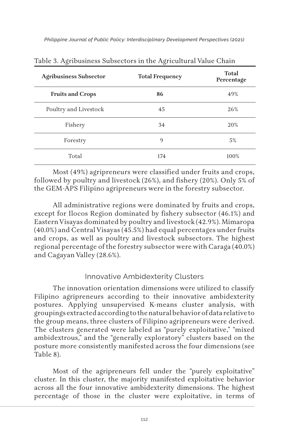| <b>Agribusiness Subsector</b> | <b>Total Frequency</b> | Total<br>Percentage |
|-------------------------------|------------------------|---------------------|
| <b>Fruits and Crops</b>       | 86                     | 49%                 |
| Poultry and Livestock         | 45                     | 26%                 |
| Fishery                       | 34                     | 20%                 |
| Forestry                      | 9                      | 5%                  |
| Total                         | 174                    | 100%                |

Most (49%) agripreneurs were classified under fruits and crops, followed by poultry and livestock (26%), and fishery (20%). Only 5% of the GEM-APS Filipino agripreneurs were in the forestry subsector.

All administrative regions were dominated by fruits and crops, except for Ilocos Region dominated by fishery subsector (46.1%) and Eastern Visayas dominated by poultry and livestock (42.9%). Mimaropa (40.0%) and Central Visayas (45.5%) had equal percentages under fruits and crops, as well as poultry and livestock subsectors. The highest regional percentage of the forestry subsector were with Caraga (40.0%) and Cagayan Valley (28.6%).

#### Innovative Ambidexterity Clusters

The innovation orientation dimensions were utilized to classify Filipino agripreneurs according to their innovative ambidexterity postures. Applying unsupervised K-means cluster analysis, with groupings extracted according to the natural behavior of data relative to the group means, three clusters of Filipino agripreneurs were derived. The clusters generated were labeled as "purely exploitative," "mixed ambidextrous," and the "generally exploratory" clusters based on the posture more consistently manifested across the four dimensions (see Table 8).

Most of the agripreneurs fell under the "purely exploitative" cluster. In this cluster, the majority manifested exploitative behavior across all the four innovative ambidexterity dimensions. The highest percentage of those in the cluster were exploitative, in terms of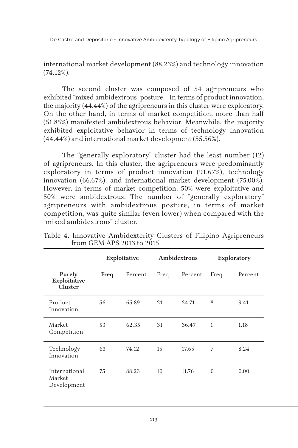international market development (88.23%) and technology innovation (74.12%).

The second cluster was composed of 54 agripreneurs who exhibited "mixed ambidextrous" posture. In terms of product innovation, the majority (44.44%) of the agripreneurs in this cluster were exploratory. On the other hand, in terms of market competition, more than half (51.85%) manifested ambidextrous behavior. Meanwhile, the majority exhibited exploitative behavior in terms of technology innovation (44.44%) and international market development (55.56%).

The "generally exploratory" cluster had the least number (12) of agripreneurs. In this cluster, the agripreneurs were predominantly exploratory in terms of product innovation (91.67%), technology innovation (66.67%), and international market development (75.00%). However, in terms of market competition, 50% were exploitative and 50% were ambidextrous. The number of "generally exploratory" agripreneurs with ambidextrous posture, in terms of market competition, was quite similar (even lower) when compared with the "mixed ambidextrous" cluster.

|      | Exploitative |      | Ambidextrous |              | Exploratory |  |
|------|--------------|------|--------------|--------------|-------------|--|
| Freq | Percent      | Freq | Percent      | Freq         | Percent     |  |
| 56   | 65.89        | 21   | 24.71        | 8            | 9.41        |  |
| 53   | 62.35        | 31   | 36.47        | $\mathbf{1}$ | 1.18        |  |
| 63   | 74.12        | 15   | 17.65        | 7            | 8.24        |  |
| 75   | 88.23        | 10   | 11.76        | $\Omega$     | 0.00        |  |
|      |              |      |              |              |             |  |

Table 4. Innovative Ambidexterity Clusters of Filipino Agripreneurs from GEM APS 2013 to 2015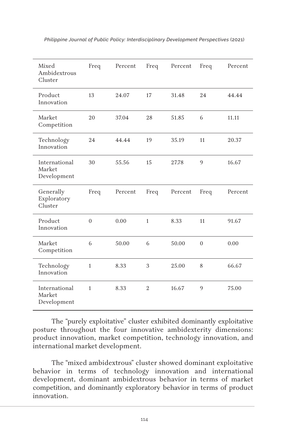| Mixed<br>Ambidextrous<br>Cluster       | Freq         | Percent | Freq         | Percent | Freq           | Percent |
|----------------------------------------|--------------|---------|--------------|---------|----------------|---------|
| Product<br>Innovation                  | 13           | 24.07   | 17           | 31.48   | 24             | 44.44   |
| Market<br>Competition                  | 20           | 37.04   | 28           | 51.85   | 6              | 11.11   |
| Technology<br>Innovation               | 24           | 44.44   | 19           | 35.19   | 11             | 20.37   |
| International<br>Market<br>Development | 30           | 55.56   | 15           | 27.78   | $\mathbf{Q}$   | 16.67   |
| Generally<br>Exploratory<br>Cluster    | Freq         | Percent | Freq         | Percent | Freq           | Percent |
|                                        |              |         |              |         |                |         |
| Product<br>Innovation                  | $\Omega$     | 0.00    | $\mathbf{1}$ | 8.33    | 11             | 91.67   |
| Market<br>Competition                  | 6            | 50.00   | 6            | 50.00   | $\overline{0}$ | 0.00    |
| Technology<br>Innovation               | $\mathbf{1}$ | 8.33    | 3            | 25.00   | 8              | 66.67   |

The "purely exploitative" cluster exhibited dominantly exploitative posture throughout the four innovative ambidexterity dimensions: product innovation, market competition, technology innovation, and international market development.

The "mixed ambidextrous" cluster showed dominant exploitative behavior in terms of technology innovation and international development, dominant ambidextrous behavior in terms of market competition, and dominantly exploratory behavior in terms of product innovation.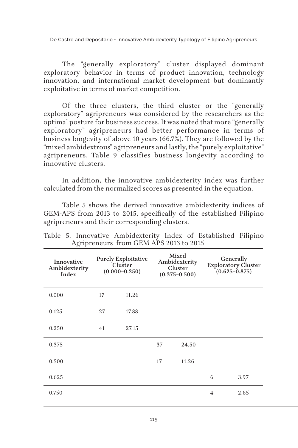The "generally exploratory" cluster displayed dominant exploratory behavior in terms of product innovation, technology innovation, and international market development but dominantly exploitative in terms of market competition.

Of the three clusters, the third cluster or the "generally exploratory" agripreneurs was considered by the researchers as the optimal posture for business success. It was noted that more "generally exploratory" agripreneurs had better performance in terms of business longevity of above 10 years (66.7%). They are followed by the "mixed ambidextrous" agripreneurs and lastly, the "purely exploitative" agripreneurs. Table 9 classifies business longevity according to innovative clusters.

In addition, the innovative ambidexterity index was further calculated from the normalized scores as presented in the equation.

Table 5 shows the derived innovative ambidexterity indices of GEM-APS from 2013 to 2015, specifically of the established Filipino agripreneurs and their corresponding clusters.

| Innovative<br>Ambidexterity<br>Index |    | <b>Purely Exploitative</b><br>Cluster<br>$(0.000 - 0.250)$ |    | Mixed<br>Ambidexterity<br>Cluster<br>$(0.375 - 0.500)$ |                | Generally<br><b>Exploratory Cluster</b><br>$(0.625 - 0.875)$ |
|--------------------------------------|----|------------------------------------------------------------|----|--------------------------------------------------------|----------------|--------------------------------------------------------------|
| 0.000                                | 17 | 11.26                                                      |    |                                                        |                |                                                              |
| 0.125                                | 27 | 17.88                                                      |    |                                                        |                |                                                              |
| 0.250                                | 41 | 27.15                                                      |    |                                                        |                |                                                              |
| 0.375                                |    |                                                            | 37 | 24.50                                                  |                |                                                              |
| 0.500                                |    |                                                            | 17 | 11.26                                                  |                |                                                              |
| 0.625                                |    |                                                            |    |                                                        | 6              | 3.97                                                         |
| 0.750                                |    |                                                            |    |                                                        | $\overline{4}$ | 2.65                                                         |

Table 5. Innovative Ambidexterity Index of Established Filipino Agripreneurs from GEM APS 2013 to 2015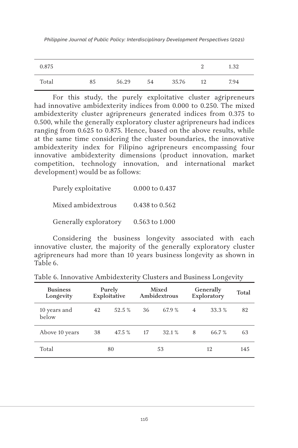| 0.875 |    |       |    |       |    | 1.32 |
|-------|----|-------|----|-------|----|------|
| Total | 85 | 56.29 | 54 | 35.76 | 12 | 7.94 |

For this study, the purely exploitative cluster agripreneurs had innovative ambidexterity indices from 0.000 to 0.250. The mixed ambidexterity cluster agripreneurs generated indices from 0.375 to 0.500, while the generally exploratory cluster agripreneurs had indices ranging from 0.625 to 0.875. Hence, based on the above results, while at the same time considering the cluster boundaries, the innovative ambidexterity index for Filipino agripreneurs encompassing four innovative ambidexterity dimensions (product innovation, market competition, technology innovation, and international market development) would be as follows:

| Purely exploitative   | 0.000 to 0.437 |
|-----------------------|----------------|
| Mixed ambidextrous    | 0.438 to 0.562 |
| Generally exploratory | 0.563 to 1.000 |

Considering the business longevity associated with each innovative cluster, the majority of the generally exploratory cluster agripreneurs had more than 10 years business longevity as shown in Table 6.

| <b>Business</b><br>Longevity |    | Purely<br>Exploitative |          | Mixed<br>Ambidextrous |                | Generally<br>Exploratory | Total |
|------------------------------|----|------------------------|----------|-----------------------|----------------|--------------------------|-------|
| 10 years and<br>below        | 42 | 52.5 %                 | 36       | 67.9 %                | $\overline{4}$ | 33.3 %                   | 82    |
| Above 10 years               | 38 | 47.5 %                 | 17       | 32.1 %                | 8              | 66.7 %                   | 63    |
| Total                        |    | 80                     | 12<br>53 |                       |                | 145                      |       |

Table 6. Innovative Ambidexterity Clusters and Business Longevity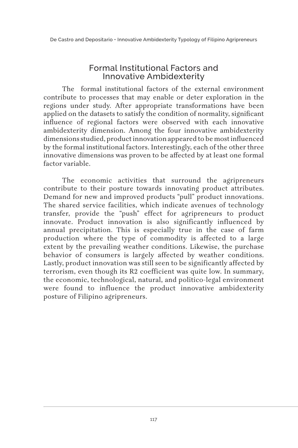### Formal Institutional Factors and Innovative Ambidexterity

The formal institutional factors of the external environment contribute to processes that may enable or deter exploration in the regions under study. After appropriate transformations have been applied on the datasets to satisfy the condition of normality, significant influence of regional factors were observed with each innovative ambidexterity dimension. Among the four innovative ambidexterity dimensions studied, product innovation appeared to be most influenced by the formal institutional factors. Interestingly, each of the other three innovative dimensions was proven to be affected by at least one formal factor variable.

The economic activities that surround the agripreneurs contribute to their posture towards innovating product attributes. Demand for new and improved products "pull" product innovations. The shared service facilities, which indicate avenues of technology transfer, provide the "push" effect for agripreneurs to product innovate. Product innovation is also significantly influenced by annual precipitation. This is especially true in the case of farm production where the type of commodity is affected to a large extent by the prevailing weather conditions. Likewise, the purchase behavior of consumers is largely affected by weather conditions. Lastly, product innovation was still seen to be significantly affected by terrorism, even though its R2 coefficient was quite low. In summary, the economic, technological, natural, and politico-legal environment were found to influence the product innovative ambidexterity posture of Filipino agripreneurs.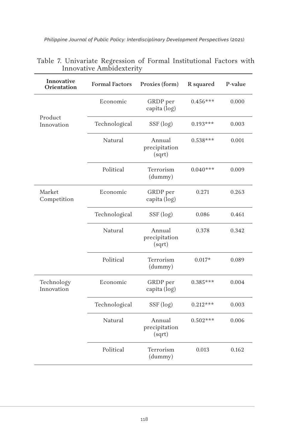| Innovative<br>Orientation | <b>Formal Factors</b> | Proxies (form)                    | R squared  | P-value |
|---------------------------|-----------------------|-----------------------------------|------------|---------|
|                           | Economic              | GRDP per<br>capita (log)          | $0.456***$ | 0.000   |
| Product<br>Innovation     | Technological         | SSF (log)                         | $0.193***$ | 0.003   |
|                           | Natural               | Annual<br>precipitation<br>(sqrt) | $0.538***$ | 0.001   |
|                           | Political             | Terrorism<br>(dummy)              | $0.040***$ | 0.009   |
| Market<br>Competition     | Economic              | GRDP per<br>capita (log)          | 0.271      | 0.263   |
|                           | Technological         | SSF (log)                         | 0.086      | 0.461   |
|                           | Natural               | Annual<br>precipitation<br>(sqrt) | 0.378      | 0.342   |
|                           | Political             | Terrorism<br>(dummy)              | $0.017*$   | 0.089   |
| Technology<br>Innovation  | Economic              | GRDP per<br>capita (log)          | $0.385***$ | 0.004   |
|                           | Technological         | SSF (log)                         | $0.212***$ | 0.003   |
|                           | Natural               | Annual<br>precipitation<br>(sqrt) | $0.502***$ | 0.006   |
|                           | Political             | Terrorism<br>(dummy)              | 0.013      | 0.162   |

| Table 7. Univariate Regression of Formal Institutional Factors with |  |  |  |
|---------------------------------------------------------------------|--|--|--|
| Innovative Ambidexterity                                            |  |  |  |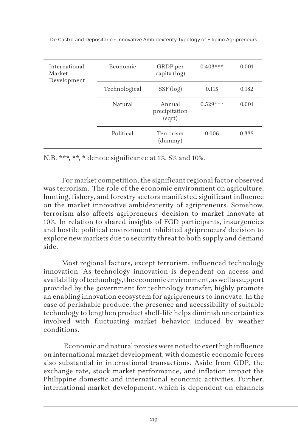| International<br>Market<br>Development | Economic      | GRDP per<br>capita (log)          | $0.403***$ | 0.001 |
|----------------------------------------|---------------|-----------------------------------|------------|-------|
|                                        | Technological | SSF (log)                         | 0.115      | 0.182 |
|                                        | Natural       | Annual<br>precipitation<br>(sqrt) | $0.529***$ | 0.001 |
|                                        | Political     | Terrorism<br>(dummy)              | 0.006      | 0.335 |

N.B. \*\*\*, \*\*, \* denote significance at 1%, 5% and 10%.

For market competition, the significant regional factor observed was terrorism. The role of the economic environment on agriculture, hunting, fishery, and forestry sectors manifested significant influence on the market innovative ambidexterity of agripreneurs. Somehow, terrorism also affects agripreneurs' decision to market innovate at 10%. In relation to shared insights of FGD participants, insurgencies and hostile political environment inhibited agripreneurs' decision to explore new markets due to security threat to both supply and demand side.

Most regional factors, except terrorism, influenced technology innovation. As technology innovation is dependent on access and availability of technology, the economic environment, as well as support provided by the government for technology transfer, highly promote an enabling innovation ecosystem for agripreneurs to innovate. In the case of perishable produce, the presence and accessibility of suitable technology to lengthen product shelf-life helps diminish uncertainties involved with fluctuating market behavior induced by weather conditions.

 Economic and natural proxies were noted to exert high influence on international market development, with domestic economic forces also substantial in international transactions. Aside from GDP, the exchange rate, stock market performance, and inflation impact the Philippine domestic and international economic activities. Further, international market development, which is dependent on channels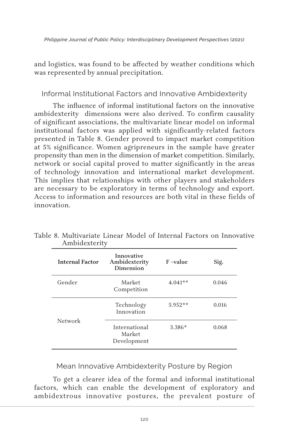and logistics, was found to be affected by weather conditions which was represented by annual precipitation.

#### Informal Institutional Factors and Innovative Ambidexterity

The influence of informal institutional factors on the innovative ambidexterity dimensions were also derived. To confirm causality of significant associations, the multivariate linear model on informal institutional factors was applied with significantly-related factors presented in Table 8. Gender proved to impact market competition at 5% significance. Women agripreneurs in the sample have greater propensity than men in the dimension of market competition. Similarly, network or social capital proved to matter significantly in the areas of technology innovation and international market development. This implies that relationships with other players and stakeholders are necessary to be exploratory in terms of technology and export. Access to information and resources are both vital in these fields of innovation.

| <b>Internal Factor</b> | Innovative<br>Ambidexterity<br>Dimension | $F$ –value | Sig.  |
|------------------------|------------------------------------------|------------|-------|
| Gender                 | Market<br>Competition                    | $4.041**$  | 0.046 |
|                        | Technology<br>Innovation                 | $5.952**$  | 0.016 |
| Network                | International<br>Market<br>Development   | $3.386*$   | 0.068 |

Table 8. Multivariate Linear Model of Internal Factors on Innovative Ambidexterity

Mean Innovative Ambidexterity Posture by Region

To get a clearer idea of the formal and informal institutional factors, which can enable the development of exploratory and ambidextrous innovative postures, the prevalent posture of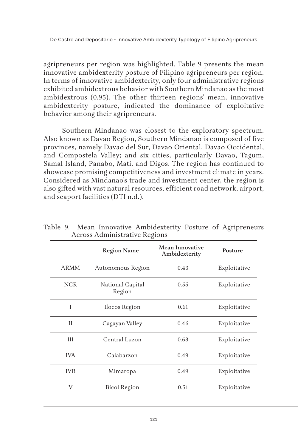agripreneurs per region was highlighted. Table 9 presents the mean innovative ambidexterity posture of Filipino agripreneurs per region. In terms of innovative ambidexterity, only four administrative regions exhibited ambidextrous behavior with Southern Mindanao as the most ambidextrous (0.95). The other thirteen regions' mean, innovative ambidexterity posture, indicated the dominance of exploitative behavior among their agripreneurs.

Southern Mindanao was closest to the exploratory spectrum. Also known as Davao Region, Southern Mindanao is composed of five provinces, namely Davao del Sur, Davao Oriental, Davao Occidental, and Compostela Valley; and six cities, particularly Davao, Tagum, Samal Island, Panabo, Mati, and Digos. The region has continued to showcase promising competitiveness and investment climate in years. Considered as Mindanao's trade and investment center, the region is also gifted with vast natural resources, efficient road network, airport, and seaport facilities (DTI n.d.).

|             | <b>Region Name</b>         | <b>Mean Innovative</b><br>Ambidexterity | Posture      |
|-------------|----------------------------|-----------------------------------------|--------------|
| <b>ARMM</b> | Autonomous Region          | 0.43                                    | Exploitative |
| <b>NCR</b>  | National Capital<br>Region | 0.55                                    | Exploitative |
| I           | Ilocos Region              | 0.61                                    | Exploitative |
| $_{\rm II}$ | Cagayan Valley             | 0.46                                    | Exploitative |
| III         | Central Luzon              | 0.63                                    | Exploitative |
| <b>IVA</b>  | Calabarzon                 | 0.49                                    | Exploitative |
| <b>IVB</b>  | Mimaropa                   | 0.49                                    | Exploitative |
| V           | Bicol Region               | 0.51                                    | Exploitative |

Table 9. Mean Innovative Ambidexterity Posture of Agripreneurs Across Administrative Regions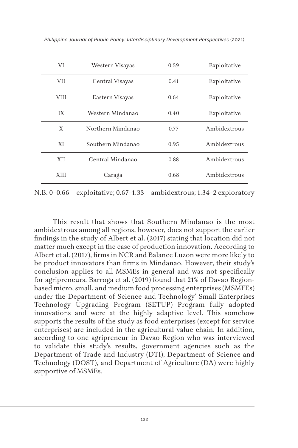| VI          | Western Visayas   | 0.59 | Exploitative |
|-------------|-------------------|------|--------------|
| <b>VII</b>  | Central Visayas   | 0.41 | Exploitative |
| VIII        | Eastern Visayas   | 0.64 | Exploitative |
| IX          | Western Mindanao  | 0.40 | Exploitative |
| X           | Northern Mindanao | 0.77 | Ambidextrous |
| XI          | Southern Mindanao | 0.95 | Ambidextrous |
| <b>XII</b>  | Central Mindanao  | 0.88 | Ambidextrous |
| <b>XIII</b> | Caraga            | 0.68 | Ambidextrous |

*Philippine Journal of Public Policy: Interdisciplinary Development Perspectives* (2021)

N.B. 0–0.66 = exploitative; 0.67–1.33 = ambidextrous; 1.34–2 exploratory

This result that shows that Southern Mindanao is the most ambidextrous among all regions, however, does not support the earlier findings in the study of Albert et al. (2017) stating that location did not matter much except in the case of production innovation. According to Albert et al. (2017), firms in NCR and Balance Luzon were more likely to be product innovators than firms in Mindanao. However, their study's conclusion applies to all MSMEs in general and was not specifically for agripreneurs. Barroga et al. (2019) found that 21% of Davao Regionbased micro, small, and medium food processing enterprises (MSMFEs) under the Department of Science and Technology' Small Enterprises Technology Upgrading Program (SETUP) Program fully adopted innovations and were at the highly adaptive level. This somehow supports the results of the study as food enterprises (except for service enterprises) are included in the agricultural value chain. In addition, according to one agripreneur in Davao Region who was interviewed to validate this study's results, government agencies such as the Department of Trade and Industry (DTI), Department of Science and Technology (DOST), and Department of Agriculture (DA) were highly supportive of MSMEs.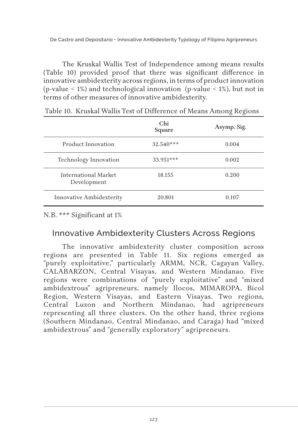The Kruskal Wallis Test of Independence among means results (Table 10) provided proof that there was significant difference in innovative ambidexterity across regions, in terms of product innovation (p-value < 1%) and technological innovation (p-value < 1%), but not in terms of other measures of innovative ambidexterity.

|                                     | Chi<br>Square | Asymp. Sig. |
|-------------------------------------|---------------|-------------|
| Product Innovation                  | $32.540***$   | 0.004       |
| Technology Innovation               | $33.951***$   | 0.002       |
| International Market<br>Development | 18.155        | 0.200       |
| Innovative Ambidexterity            | 20.801        | 0.107       |

Table 10. Kruskal Wallis Test of Difference of Means Among Regions

N.B. \*\*\* Significant at 1%

## Innovative Ambidexterity Clusters Across Regions

The innovative ambidexterity cluster composition across regions are presented in Table 11. Six regions emerged as "purely exploitative," particularly ARMM, NCR, Cagayan Valley, CALABARZON, Central Visayas, and Western Mindanao. Five regions were combinations of "purely exploitative" and "mixed ambidextrous" agripreneurs, namely Ilocos, MIMAROPA, Bicol Region, Western Visayas, and Eastern Visayas. Two regions, Central Luzon and Northern Mindanao, had agripreneurs representing all three clusters. On the other hand, three regions (Southern Mindanao, Central Mindanao, and Caraga) had "mixed ambidextrous" and "generally exploratory" agripreneurs.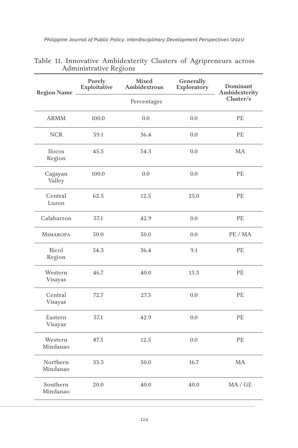| Philippine Journal of Public Policy: Interdisciplinary Development Perspectives (2021) |  |  |
|----------------------------------------------------------------------------------------|--|--|
|                                                                                        |  |  |

|                      | rammonan's negions<br>Purely | Mixed        | Generally   |                           |
|----------------------|------------------------------|--------------|-------------|---------------------------|
| Region Name          | Exploitative                 | Ambidextrous | Exploratory | Dominant<br>Ambidexterity |
|                      |                              | Cluster/s    |             |                           |
| <b>ARMM</b>          | 100.0                        | 0.0          | 0.0         | PE                        |
| <b>NCR</b>           | 59.1                         | 36.4         | 0.0         | PE                        |
| Ilocos<br>Region     | 45.5                         | 54.5         | 0.0         | <b>MA</b>                 |
| Cagayan<br>Valley    | 100.0                        | 0.0          | 0.0         | PE                        |
| Central<br>Luzon     | 62.5                         | 12.5         | 25.0        | $\rm PE$                  |
| Calabarzon           | 57.1                         | 42.9         | 0.0         | PE                        |
| <b>MIMAROPA</b>      | 50.0                         | 50.0         | 0.0         | PE / MA                   |
| Bicol<br>Region      | 54.5                         | 36.4         | 9.1         | PE                        |
| Western<br>Visayas   | 46.7                         | 40.0         | 13.3        | $\rm{P}E$                 |
| Central<br>Visayas   | 72.7                         | 27.3         | 0.0         | PE                        |
| Eastern<br>Visayas   | 57.1                         | 42.9         | 0.0         | $\rm{P}E$                 |
| Western<br>Mindanao  | 87.5                         | 12.5         | 0.0         | PE                        |
| Northern<br>Mindanao | 33.3                         | 50.0         | 16.7        | MA                        |
| Southern<br>Mindanao | 20.0                         | 40.0         | 40.0        | MA / GE                   |

|  | Table 11. Innovative Ambidexterity Clusters of Agripreneurs across |  |  |
|--|--------------------------------------------------------------------|--|--|
|  | Administrative Regions                                             |  |  |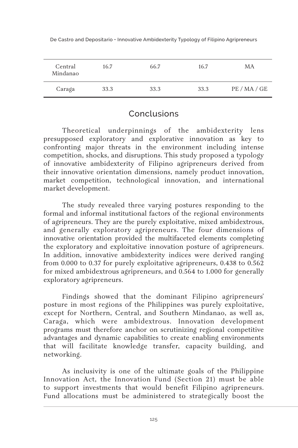| Central<br>Mindanao | 16.7 | 66.7 | 16.7 | МA       |
|---------------------|------|------|------|----------|
| Caraga              | 33.3 | 33.3 | 33.3 | PE/MA/GE |

## Conclusions

Theoretical underpinnings of the ambidexterity lens presupposed exploratory and explorative innovation as key to confronting major threats in the environment including intense competition, shocks, and disruptions. This study proposed a typology of innovative ambidexterity of Filipino agripreneurs derived from their innovative orientation dimensions, namely product innovation, market competition, technological innovation, and international market development.

The study revealed three varying postures responding to the formal and informal institutional factors of the regional environments of agripreneurs. They are the purely exploitative, mixed ambidextrous, and generally exploratory agripreneurs. The four dimensions of innovative orientation provided the multifaceted elements completing the exploratory and exploitative innovation posture of agripreneurs. In addition, innovative ambidexterity indices were derived ranging from 0.000 to 0.37 for purely exploitative agripreneurs, 0.438 to 0.562 for mixed ambidextrous agripreneurs, and 0.564 to 1.000 for generally exploratory agripreneurs.

Findings showed that the dominant Filipino agripreneurs' posture in most regions of the Philippines was purely exploitative, except for Northern, Central, and Southern Mindanao, as well as, Caraga, which were ambidextrous. Innovation development programs must therefore anchor on scrutinizing regional competitive advantages and dynamic capabilities to create enabling environments that will facilitate knowledge transfer, capacity building, and networking.

As inclusivity is one of the ultimate goals of the Philippine Innovation Act, the Innovation Fund (Section 21) must be able to support investments that would benefit Filipino agripreneurs. Fund allocations must be administered to strategically boost the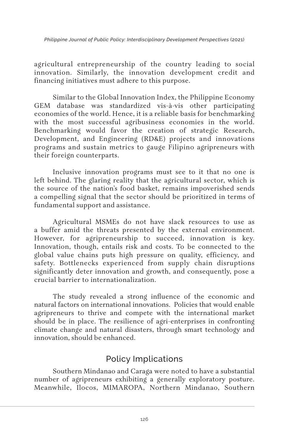agricultural entrepreneurship of the country leading to social innovation. Similarly, the innovation development credit and financing initiatives must adhere to this purpose.

Similar to the Global Innovation Index, the Philippine Economy GEM database was standardized vis-à-vis other participating economies of the world. Hence, it is a reliable basis for benchmarking with the most successful agribusiness economies in the world. Benchmarking would favor the creation of strategic Research, Development, and Engineering (RD&E) projects and innovations programs and sustain metrics to gauge Filipino agripreneurs with their foreign counterparts.

Inclusive innovation programs must see to it that no one is left behind. The glaring reality that the agricultural sector, which is the source of the nation's food basket, remains impoverished sends a compelling signal that the sector should be prioritized in terms of fundamental support and assistance.

Agricultural MSMEs do not have slack resources to use as a buffer amid the threats presented by the external environment. However, for agripreneurship to succeed, innovation is key. Innovation, though, entails risk and costs. To be connected to the global value chains puts high pressure on quality, efficiency, and safety. Bottlenecks experienced from supply chain disruptions significantly deter innovation and growth, and consequently, pose a crucial barrier to internationalization.

The study revealed a strong influence of the economic and natural factors on international innovations. Policies that would enable agripreneurs to thrive and compete with the international market should be in place. The resilience of agri-enterprises in confronting climate change and natural disasters, through smart technology and innovation, should be enhanced.

# Policy Implications

Southern Mindanao and Caraga were noted to have a substantial number of agripreneurs exhibiting a generally exploratory posture. Meanwhile, Ilocos, MIMAROPA, Northern Mindanao, Southern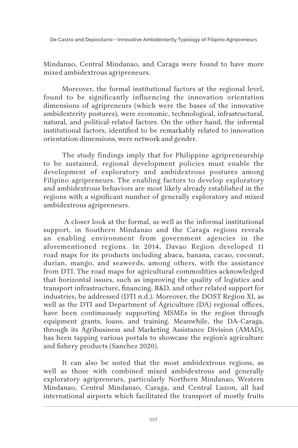Mindanao, Central Mindanao, and Caraga were found to have more mixed ambidextrous agripreneurs.

Moreover, the formal institutional factors at the regional level, found to be significantly influencing the innovation orientation dimensions of agripreneurs (which were the bases of the innovative ambidexterity postures), were economic, technological, infrastructural, natural, and political-related factors. On the other hand, the informal institutional factors, identified to be remarkably related to innovation orientation dimensions, were network and gender.

The study findings imply that for Philippine agripreneurship to be sustained, regional development policies must enable the development of exploratory and ambidextrous postures among Filipino agripreneurs. The enabling factors to develop exploratory and ambidextrous behaviors are most likely already established in the regions with a significant number of generally exploratory and mixed ambidextrous agripreneurs.

 A closer look at the formal, as well as the informal institutional support, in Southern Mindanao and the Caraga regions reveals an enabling environment from government agencies in the aforementioned regions. In 2014, Davao Region developed 11 road maps for its products including abaca, banana, cacao, coconut, durian, mango, and seaweeds, among others, with the assistance from DTI. The road maps for agricultural commodities acknowledged that horizontal issues, such as improving the quality of logistics and transport infrastructure, financing, R&D, and other related support for industries, be addressed (DTI n.d.). Moreover, the DOST Region XI, as well as the DTI and Department of Agriculture (DA) regional offices, have been continuously supporting MSMEs in the region through equipment grants, loans, and training. Meanwhile, the DA–Caraga, through its Agribusiness and Marketing Assistance Division (AMAD), has been tapping various portals to showcase the region's agriculture and fishery products (Sanchez 2020).

It can also be noted that the most ambidextrous regions, as well as those with combined mixed ambidextrous and generally exploratory agripreneurs, particularly Northern Mindanao, Western Mindanao, Central Mindanao, Caraga, and Central Luzon, all had international airports which facilitated the transport of mostly fruits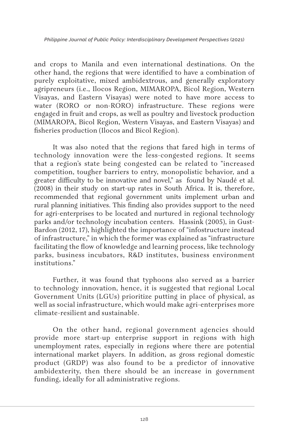and crops to Manila and even international destinations. On the other hand, the regions that were identified to have a combination of purely exploitative, mixed ambidextrous, and generally exploratory agripreneurs (i.e., Ilocos Region, MIMAROPA, Bicol Region, Western Visayas, and Eastern Visayas) were noted to have more access to water (RORO or non-RORO) infrastructure. These regions were engaged in fruit and crops, as well as poultry and livestock production (MIMAROPA, Bicol Region, Western Visayas, and Eastern Visayas) and fisheries production (Ilocos and Bicol Region).

It was also noted that the regions that fared high in terms of technology innovation were the less-congested regions. It seems that a region's state being congested can be related to "increased competition, tougher barriers to entry, monopolistic behavior, and a greater difficulty to be innovative and novel," as found by Naudé et al. (2008) in their study on start-up rates in South Africa. It is, therefore, recommended that regional government units implement urban and rural planning initiatives. This finding also provides support to the need for agri-enterprises to be located and nurtured in regional technology parks and/or technology incubation centers. Hassink (2005), in Gust-Bardon (2012, 17), highlighted the importance of "infostructure instead of infrastructure," in which the former was explained as "infrastructure facilitating the flow of knowledge and learning process, like technology parks, business incubators, R&D institutes, business environment institutions."

Further, it was found that typhoons also served as a barrier to technology innovation, hence, it is suggested that regional Local Government Units (LGUs) prioritize putting in place of physical, as well as social infrastructure, which would make agri-enterprises more climate-resilient and sustainable.

On the other hand, regional government agencies should provide more start-up enterprise support in regions with high unemployment rates, especially in regions where there are potential international market players. In addition, as gross regional domestic product (GRDP) was also found to be a predictor of innovative ambidexterity, then there should be an increase in government funding, ideally for all administrative regions.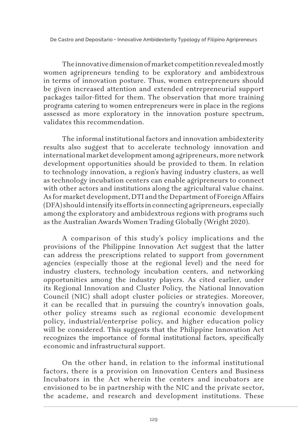The innovative dimension of market competition revealed mostly women agripreneurs tending to be exploratory and ambidextrous in terms of innovation posture. Thus, women entrepreneurs should be given increased attention and extended entrepreneurial support packages tailor-fitted for them. The observation that more training programs catering to women entrepreneurs were in place in the regions assessed as more exploratory in the innovation posture spectrum, validates this recommendation.

The informal institutional factors and innovation ambidexterity results also suggest that to accelerate technology innovation and international market development among agripreneurs, more network development opportunities should be provided to them. In relation to technology innovation, a region's having industry clusters, as well as technology incubation centers can enable agripreneurs to connect with other actors and institutions along the agricultural value chains. As for market development, DTI and the Department of Foreign Affairs (DFA) should intensify its efforts in connecting agripreneurs, especially among the exploratory and ambidextrous regions with programs such as the Australian Awards Women Trading Globally (Wright 2020).

A comparison of this study's policy implications and the provisions of the Philippine Innovation Act suggest that the latter can address the prescriptions related to support from government agencies (especially those at the regional level) and the need for industry clusters, technology incubation centers, and networking opportunities among the industry players. As cited earlier, under its Regional Innovation and Cluster Policy, the National Innovation Council (NIC) shall adopt cluster policies or strategies. Moreover, it can be recalled that in pursuing the country's innovation goals, other policy streams such as regional economic development policy, industrial/enterprise policy, and higher education policy will be considered. This suggests that the Philippine Innovation Act recognizes the importance of formal institutional factors, specifically economic and infrastructural support.

On the other hand, in relation to the informal institutional factors, there is a provision on Innovation Centers and Business Incubators in the Act wherein the centers and incubators are envisioned to be in partnership with the NIC and the private sector, the academe, and research and development institutions. These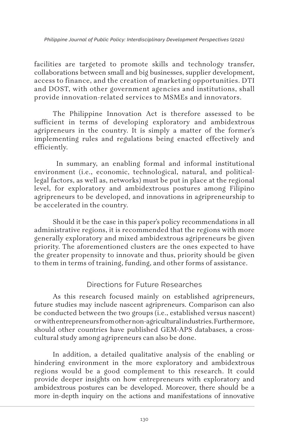facilities are targeted to promote skills and technology transfer, collaborations between small and big businesses, supplier development, access to finance, and the creation of marketing opportunities. DTI and DOST, with other government agencies and institutions, shall provide innovation-related services to MSMEs and innovators.

The Philippine Innovation Act is therefore assessed to be sufficient in terms of developing exploratory and ambidextrous agripreneurs in the country. It is simply a matter of the former's implementing rules and regulations being enacted effectively and efficiently.

 In summary, an enabling formal and informal institutional environment (i.e., economic, technological, natural, and politicallegal factors, as well as, networks) must be put in place at the regional level, for exploratory and ambidextrous postures among Filipino agripreneurs to be developed, and innovations in agripreneurship to be accelerated in the country.

Should it be the case in this paper's policy recommendations in all administrative regions, it is recommended that the regions with more generally exploratory and mixed ambidextrous agripreneurs be given priority. The aforementioned clusters are the ones expected to have the greater propensity to innovate and thus, priority should be given to them in terms of training, funding, and other forms of assistance.

### Directions for Future Researches

As this research focused mainly on established agripreneurs, future studies may include nascent agripreneurs. Comparison can also be conducted between the two groups (i.e., established versus nascent) or with entrepreneurs from other non-agricultural industries. Furthermore, should other countries have published GEM-APS databases, a crosscultural study among agripreneurs can also be done.

In addition, a detailed qualitative analysis of the enabling or hindering environment in the more exploratory and ambidextrous regions would be a good complement to this research. It could provide deeper insights on how entrepreneurs with exploratory and ambidextrous postures can be developed. Moreover, there should be a more in-depth inquiry on the actions and manifestations of innovative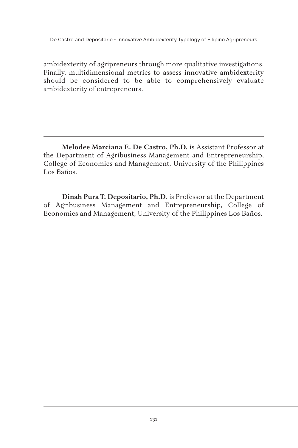ambidexterity of agripreneurs through more qualitative investigations. Finally, multidimensional metrics to assess innovative ambidexterity should be considered to be able to comprehensively evaluate ambidexterity of entrepreneurs.

**Melodee Marciana E. De Castro, Ph.D.** is Assistant Professor at the Department of Agribusiness Management and Entrepreneurship, College of Economics and Management, University of the Philippines Los Baños.

**Dinah Pura T. Depositario, Ph.D**. is Professor at the Department of Agribusiness Management and Entrepreneurship, College of Economics and Management, University of the Philippines Los Baños.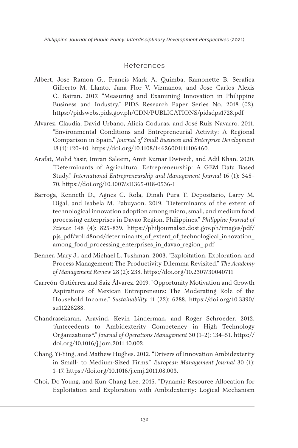#### References

- Albert, Jose Ramon G., Francis Mark A. Quimba, Ramonette B. Serafica Gilberto M. Llanto, Jana Flor V. Vizmanos, and Jose Carlos Alexis C. Bairan. 2017. "Measuring and Examining Innovation in Philippine Business and Industry." PIDS Research Paper Series No. 2018 (02). https://pidswebs.pids.gov.ph/CDN/PUBLICATIONS/pidsdps1728.pdf
- Alvarez, Claudia, David Urbano, Alicia Coduras, and José Ruiz–Navarro. 2011. "Environmental Conditions and Entrepreneurial Activity: A Regional Comparison in Spain." *Journal of Small Business and Enterprise Development* 18 (1): 120–40. https://doi.org/10.1108/14626001111106460.
- Arafat, Mohd Yasir, Imran Saleem, Amit Kumar Dwivedi, and Adil Khan. 2020. "Determinants of Agricultural Entrepreneurship: A GEM Data Based Study." *International Entrepreneurship and Management Journal* 16 (1): 345– 70. https://doi.org/10.1007/s11365-018-0536-1
- Barroga, Kenneth D., Agnes C. Rola, Dinah Pura T. Depositario, Larry M. Digal, and Isabela M. Pabuyaon. 2019. "Determinants of the extent of technological innovation adoption among micro, small, and medium food processing enterprises in Davao Region, Philippines." *Philippine Journal of Science* 148 (4): 825–839. https://philjournalsci.dost.gov.ph/images/pdf/ pjs\_pdf/vol148no4/determinants\_of\_extent\_of\_technological\_innovation\_ among\_food\_processing\_enterprises\_in\_davao\_region\_.pdf
- Benner, Mary J., and Michael L. Tushman. 2003. "Exploitation, Exploration, and Process Management: The Productivity Dilemma Revisited." *The Academy of Management Review* 28 (2): 238. https://doi.org/10.2307/30040711
- Carreón-Gutiérrez and Saiz-Álvarez. 2019. "Opportunity Motivation and Growth Aspirations of Mexican Entrepreneurs: The Moderating Role of the Household Income." *Sustainability* 11 (22): 6288. https://doi.org/10.3390/ su11226288.
- Chandrasekaran, Aravind, Kevin Linderman, and Roger Schroeder. 2012. "Antecedents to Ambidexterity Competency in High Technology Organizations\*." *Journal of Operations Management* 30 (1–2): 134–51. https:// doi.org/10.1016/j.jom.2011.10.002.
- Chang, Yi-Ying, and Mathew Hughes. 2012. "Drivers of Innovation Ambidexterity in Small- to Medium-Sized Firms." *European Management Journal* 30 (1): 1–17. https://doi.org/10.1016/j.emj.2011.08.003.
- Choi, Do Young, and Kun Chang Lee. 2015. "Dynamic Resource Allocation for Exploitation and Exploration with Ambidexterity: Logical Mechanism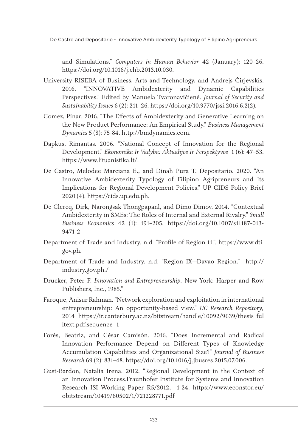and Simulations." *Computers in Human Behavior* 42 (January): 120–26. https://doi.org/10.1016/j.chb.2013.10.030.

- University RISEBA of Business, Arts and Technology, and Andrejs Čirjevskis. 2016. "INNOVATIVE Ambidexterity and Dynamic Capabilities Perspectives." Edited by Manuela Tvaronavičienė. *Journal of Security and Sustainability Issues* 6 (2): 211–26. https://doi.org/10.9770/jssi.2016.6.2(2).
- Comez, Pinar. 2016. "The Effects of Ambidexterity and Generative Learning on the New Product Performance: An Empirical Study." *Business Management Dynamics* 5 (8): 75-84. http://bmdynamics.com.
- Dapkus, Rimantas. 2006. "National Concept of Innovation for the Regional Development." *Ekonomika Ir Vadyba: Aktualijos Ir Perspektyvos* 1 (6): 47–53. https://www.lituanistika.lt/.
- De Castro, Melodee Marciana E., and Dinah Pura T. Depositario. 2020. "An Innovative Ambidexterity Typology of Filipino Agripreneurs and Its Implications for Regional Development Policies." UP CIDS Policy Brief 2020 (4). https://cids.up.edu.ph.
- De Clercq, Dirk, Narongsak Thongpapanl, and Dimo Dimov. 2014. "Contextual Ambidexterity in SMEs: The Roles of Internal and External Rivalry." *Small Business Economics* 42 (1): 191–205. https://doi.org/10.1007/s11187-013- 9471-2
- Department of Trade and Industry. n.d. "Profile of Region 11.". https://www.dti. gov.ph.
- Department of Trade and Industry. n.d. "Region IX—Davao Region." http:// industry.gov.ph./
- Drucker, Peter F. *Innovation and Entrepreneurship*. New York: Harper and Row Publishers, Inc., 1985."
- Faroque, Anisur Rahman. "Network exploration and exploitation in international entrepreneurship: An opportunity-based view." *UC Research Repository,* 2014 https://ir.canterbury.ac.nz/bitstream/handle/10092/9639/thesis\_ful ltext.pdf;sequence=1
- Forés, Beatriz, and César Camisón. 2016. "Does Incremental and Radical Innovation Performance Depend on Different Types of Knowledge Accumulation Capabilities and Organizational Size?" *Journal of Business Research* 69 (2): 831–48. https://doi.org/10.1016/j.jbusres.2015.07.006.
- Gust-Bardon, Natalia Irena. 2012. "Regional Development in the Context of an Innovation Process.Fraunhofer Institute for Systems and Innovation Research ISI Working Paper R5/2012, 1-24. https://www.econstor.eu/ obitstream/10419/60502/1/721228771.pdf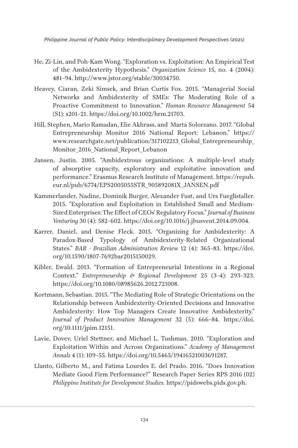- He, Zi-Lin, and Poh-Kam Wong. "Exploration vs. Exploitation: An Empirical Test of the Ambidexterity Hypothesis." *Organization Science* 15, no. 4 (2004): 481–94. http://www.jstor.org/stable/30034750.
- Heavey, Ciaran, Zeki Simsek, and Brian Curtis Fox. 2015. "Managerial Social Networks and Ambidexterity of SMEs: The Moderating Role of a Proactive Commitment to Innovation." *Human Resource Management* 54 (S1): s201–21. https://doi.org/10.1002/hrm.21703.
- Hill, Stephen, Mario Ramadan, Elie Akhrass, and Marta Solorzano. 2017. "Global Entrepreneurship Monitor 2016 National Report: Lebanon." https:// www.researchgate.net/publication/317102213\_Global\_Entrepreneurship\_ Monitor 2016 National Report Lebanon
- Jansen, Justin. 2005. "Ambidextrous organizations: A multiple-level study of absorptive capacity, exploratory and exploitative innovation and performance." Erasmus Research Institute of Management. https://repub. eur.nl/pub/6774/EPS2005055STR\_905892081X\_JANSEN.pdf
- Kammerlander, Nadine, Dominik Burger, Alexander Fust, and Urs Fueglistaller. 2015. "Exploration and Exploitation in Established Small and Medium-Sized Enterprises: The Effect of CEOs' Regulatory Focus." *Journal of Business Venturing* 30 (4): 582–602. https://doi.org/10.1016/j.jbusvent.2014.09.004.
- Karrer, Daniel, and Denise Fleck. 2015. "Organizing for Ambidexterity: A Paradox-Based Typology of Ambidexterity-Related Organizational States." *BAR - Brazilian Administration Review* 12 (4): 365–83. https://doi. org/10.1590/1807-7692bar2015150029.
- Kibler, Ewald. 2013. "Formation of Entrepreneurial Intentions in a Regional Context." *Entrepreneurship & Regional Development* 25 (3–4): 293–323. https://doi.org/10.1080/08985626.2012.721008.
- Kortmann, Sebastian. 2015. "The Mediating Role of Strategic Orientations on the Relationship between Ambidexterity-Oriented Decisions and Innovative Ambidexterity: How Top Managers Create Innovative Ambidexterity." *Journal of Product Innovation Management* 32 (5): 666–84. https://doi. org/10.1111/jpim.12151.
- Lavie, Dovev, Uriel Stettner, and Michael L. Tushman. 2010. "Exploration and Exploitation Within and Across Organizations." *Academy of Management Annals* 4 (1): 109–55. https://doi.org/10.5465/19416521003691287.
- Llanto, Gilberto M., and Fatima Lourdes E. del Prado. 2016. "Does Innovation Mediate Good Firm Performance?" Research Paper Series RPS 2016 (02) *Philippine Institute for Development Studies.* https://pidswebs.pids.gov.ph.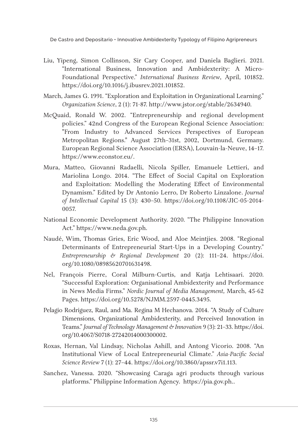- Liu, Yipeng, Simon Collinson, Sir Cary Cooper, and Daniela Baglieri. 2021. "International Business, Innovation and Ambidexterity: A Micro-Foundational Perspective." *International Business Review*, April, 101852. https://doi.org/10.1016/j.ibusrev.2021.101852.
- March, James G. 1991. "Exploration and Exploitation in Organizational Learning." *Organization Science*, 2 (1): 71-87. http://www.jstor.org/stable/2634940.
- McQuaid, Ronald W. 2002. "Entrepreneurship and regional development policies." 42nd Congress of the European Regional Science Association: "From Industry to Advanced Services Perspectives of European Metropolitan Regions." August 27th–31st, 2002, Dortmund, Germany. European Regional Science Association (ERSA), Louvain-la-Neuve, 14–17. https://www.econstor.eu/.
- Mura, Matteo, Giovanni Radaelli, Nicola Spiller, Emanuele Lettieri, and Mariolina Longo. 2014. "The Effect of Social Capital on Exploration and Exploitation: Modelling the Moderating Effect of Environmental Dynamism." Edited by Dr Antonio Lerro, Dr Roberto Linzalone. *Journal of Intellectual Capital* 15 (3): 430–50. https://doi.org/10.1108/JIC-05-2014- 0057.
- National Economic Development Authority. 2020. "The Philippine Innovation Act." https://www.neda.gov.ph.
- Naudé, Wim, Thomas Gries, Eric Wood, and Aloe Meintjies. 2008. "Regional Determinants of Entrepreneurial Start-Ups in a Developing Country." *Entrepreneurship & Regional Development* 20 (2): 111–24. https://doi. org/10.1080/08985620701631498.
- Nel, François Pierre, Coral Milburn-Curtis, and Katja Lehtisaari. 2020. "Successful Exploration: Organisational Ambidexterity and Performance in News Media Firms." *Nordic Journal of Media Management,* March, 45-62 Pages. https://doi.org/10.5278/NJMM.2597-0445.3495.
- Pelagio Rodriguez, Raul, and Ma. Regina M Hechanova. 2014. "A Study of Culture Dimensions, Organizational Ambidexterity, and Perceived Innovation in Teams." *Journal of Technology Management & Innovation* 9 (3): 21–33. https://doi. org/10.4067/S0718-27242014000300002.
- Roxas, Hernan, Val Lindsay, Nicholas Ashill, and Antong Vicorio. 2008. "An Institutional View of Local Entrepreneurial Climate." *Asia-Pacific Social Science Review* 7 (1): 27–44. https://doi.org/10.3860/apssr.v7i1.113.
- Sanchez, Vanessa. 2020. "Showcasing Caraga agri products through various platforms." Philippine Information Agency. https://pia.gov.ph..